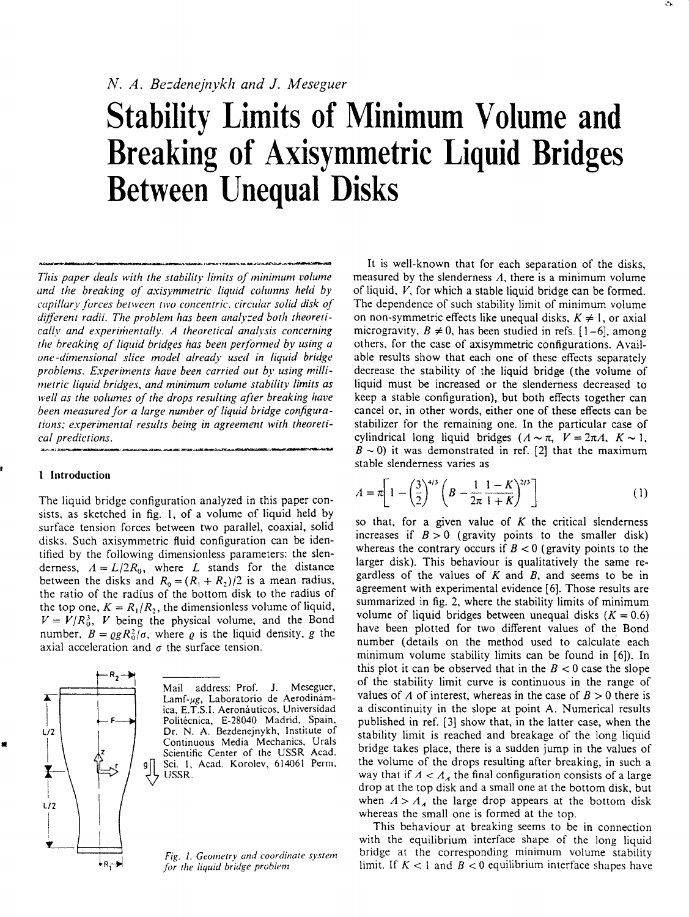# **Stability Limits of Minimum Volume and Breaking of Axisymmetric Liquid Bridges Between Unequal Disks**

*This paper deals with the stability limits of minimum volume and the breaking of axisymmetric liquid columns held by capillary forces between two concentric, circular solid disk of different radii. The problem has been analyzed both theoretically and experimentally. A theoretical analysis concerning the breaking of liquid bridges has been performed by using a one-dimensional slice model already used in liquid bridge problems. Experiments have been carried out by using millimetric liquid bridges, and minimum volume stability limits as well as the volumes of the drops resulting after breaking have been measured for a large number of liquid bridge configurations; experimental results being in agreement with theoretical predictions.* 

## 1 Introduction

The liquid bridge configuration analyzed in this paper consists, as sketched in fig. 1, of a volume of liquid held by surface tension forces between two parallel, coaxial, solid disks. Such axisymmetric fluid configuration can be identified by the following dimensionless parameters: the slenderness,  $A = L/2R_0$ , where *L* stands for the distance between the disks and  $R_0 = (R_1 + R_2)/2$  is a mean radius, the ratio of the radius of the bottom disk to the radius of the top one,  $K = R_1/R_2$ , the dimensionless volume of liquid,  $V = V/R_0^3$ , V being the physical volume, and the Bond number,  $B = \rho g R_0^2 / \sigma$ , where  $\rho$  is the liquid density, g the axial acceleration and  $\sigma$  the surface tension.



Mail address: Prof. J. Meseguer, Lamf-µg, Laboratorio de Aerodinámica, E.T.S.I. Aeronáuticos, Universidad Politécnica, E-28040 Madrid, Spain, Dr. N. A. Bezdenejnykh, Institute of Continuous Media Mechanics, Urals Scientific Center of the USSR Acad. Sci. 1, Acad. Korolev, 614061 Perm, USSR.

*Fig. 1. Geometry and coordinate system for the liquid bridge problem* 

It is well-known that for each separation of the disks, measured by the slendemess *A,* there is a minimum volume of liquid, *V,* for which a stable liquid bridge can be formed. The dependence of such stability limit of minimum volume on non-symmetric effects like unequal disks,  $K \neq 1$ , or axial microgravity,  $B \neq 0$ , has been studied in refs.  $[1-6]$ , among others, for the case of axisymmetric configurations. Available results show that each one of these effects separately decrease the stability of the liquid bridge (the volume of liquid must be increased or the slendemess decreased to keep a stable configuration), but both effects together can cancel or, in other words, either one of these effects can be stabilizer for the remaining one. In the particular case of cylindrical long liquid bridges  $(A \sim \pi, V = 2\pi A, K \sim 1,$  $B \sim 0$ ) it was demonstrated in ref. [2] that the maximum stable slendemess varies as

$$
A = \pi \left[ 1 - \left(\frac{3}{2}\right)^{4/3} \left( B - \frac{1}{2\pi} \frac{1 - K}{1 + K} \right)^{2/3} \right] \tag{1}
$$

so that, for a given value of *K* the critical slendemess increases if  $B > 0$  (gravity points to the smaller disk) whereas the contrary occurs if  $B < 0$  (gravity points to the larger disk). This behaviour is qualitatively the same regardless of the values of *K* and *B,* and seems to be in agreement with experimental evidence [6]. Those results are summarized in fig. 2, where the stability limits of minimum volume of liquid bridges between unequal disks  $(K = 0.6)$ have been plotted for two different values of the Bond number (details on the method used to calculate each minimum volume stability limits can be found in [6]). In this plot it can be observed that in the  $B < 0$  case the slope of the stability limit curve is continuous in the range of values of  $\Lambda$  of interest, whereas in the case of  $B > 0$  there is a discontinuity in the slope at point A. Numerical results published in ref. [3] show that, in the latter case, when the stability limit is reached and breakage of the long liquid bridge takes place, there is a sudden jump in the values of the volume of the drops resulting after breaking, in such a way that if  $A < A<sub>A</sub>$  the final configuration consists of a large drop at the top disk and a small one at the bottom disk, but when *A > AA* the large drop appears at the bottom disk when  $A > A_A$  the large drop appears at the small one is formed at the top.

This behaviour at breaking seems to be in connection with the equilibrium interface shape of the long liquid bridge at the corresponding minimum volume stability limit. If *K <* 1 and *B <* 0 equilibrium interface shapes have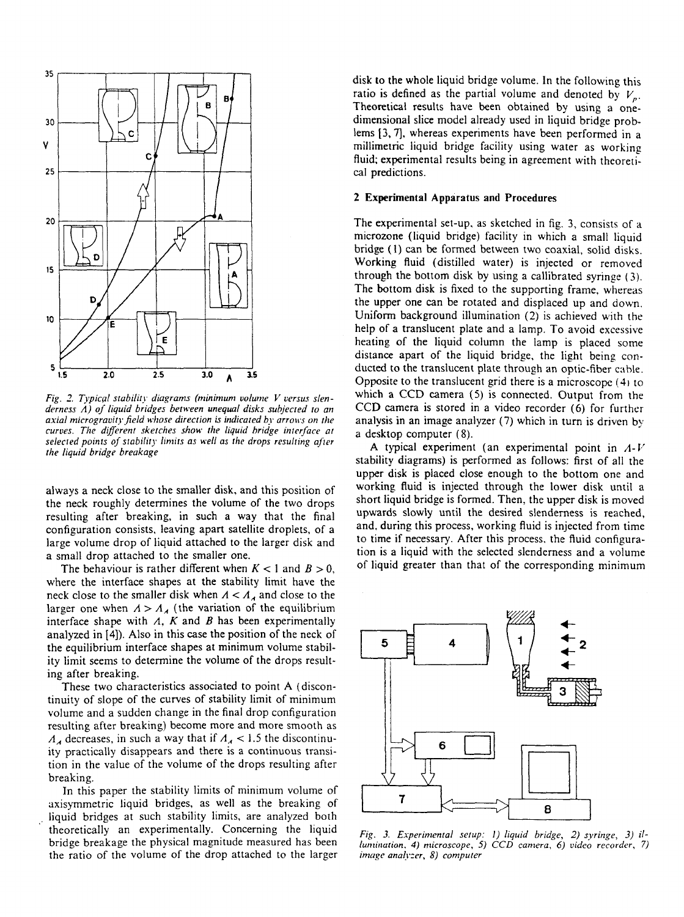

Fig. 2. Typical stability diagrams (minimum volume V versus slen*demess A) of liquid bridges between unequal disks subjected to an axial microgravity field whose direction is indicated by arrows on the curves. The different sketches show the liquid bridge interface at selected points of stability limits as well as the drops resulting after the liquid bridge breakage* 

always a neck close to the smaller disk, and this position of the neck roughly determines the volume of the two drops resulting after breaking, in such a way that the final configuration consists, leaving apart satellite droplets, of a large volume drop of liquid attached to the larger disk and a small drop attached to the smaller one.

The behaviour is rather different when *K <* 1 and *B >* 0, where the interface shapes at the stability limit have the neck close to the smaller disk when  $A < A<sub>A</sub>$  and close to the larger one when  $A > A_A$  (the variation of the equilibrium interface shape with *A, K* and *B* has been experimentally analyzed in [4]). Also in this case the position of the neck of the equilibrium interface shapes at minimum volume stability limit seems to determine the volume of the drops resulting after breaking.

These two characteristics associated to point A (discontinuity of slope of the curves of stability limit of minimum volume and a sudden change in the final drop configuration resulting after breaking) become more and more smooth as  $A_A$  decreases, in such a way that if  $A_A < 1.5$  the discontinuity practically disappears and there is a continuous transition in the value of the volume of the drops resulting after breaking.

In this paper the stability limits of minimum volume of axisymmetric liquid bridges, as well as the breaking of liquid bridges at such stability limits, are analyzed both theoretically an experimentally. Concerning the liquid bridge breakage the physical magnitude measured has been the ratio of the volume of the drop attached to the larger

disk to the whole liquid bridge volume. In the following this ratio is defined as the partial volume and denoted by  $V_p$ . Theoretical results have been obtained by using a onedimensional slice model already used in liquid bridge problems [3, 7], whereas experiments have been performed in a millimetric liquid bridge facility using water as working fluid; experimental results being in agreement with theoretical predictions.

### **2 Experimental Apparatus and Procedures**

The experimental set-up, as sketched in fig. 3, consists of a microzone (liquid bridge) facility in which a small liquid bridge (1) can be formed between two coaxial, solid disks. Working fluid (distilled water) is injected or removed through the bottom disk by using a callibrated syringe (3). The bottom disk is fixed to the supporting frame, whereas the upper one can be rotated and displaced up and down. Uniform background illumination (2) is achieved with the help of a translucent plate and a lamp. To avoid excessive heating of the liquid column the lamp is placed some distance apart of the liquid bridge, the light being conducted to the translucent plate through an optic-fiber cable. Opposite to the translucent grid there is a microscope (4) to which a CCD camera (5) is connected. Output from the CCD camera is stored in a video recorder (6) for further analysis in an image analyzer (7) which in turn is driven by a desktop computer (8).

A typical experiment (an experimental point in *A-V*  stability diagrams) is performed as follows: first of all the upper disk is placed close enough to the bottom one and working fluid is injected through the lower disk until a short liquid bridge is formed. Then, the upper disk is moved upwards slowly until the desired slendemess is reached, and, during this process, working fluid is injected from time to time if necessary. After this process, the fluid configuration is a liquid with the selected slendemess and a volume of liquid greater than that of the corresponding minimum



*Fig. 3. Experimental setup: 1) liquid bridge, 2) syringe, 3) illumination. 4) microscope, 5) CCD camera, 6) video recorder, 7) image analyzer, 8) computer*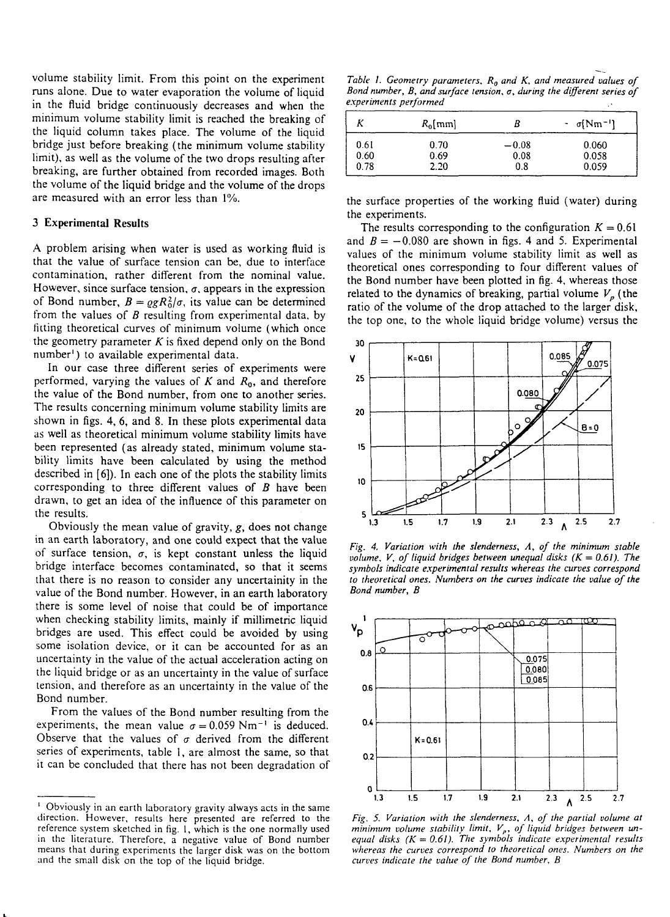volume stability limit. From this point on the experiment runs alone. Due to water evaporation the volume of liquid in the fluid bridge continuously decreases and when the minimum volume stability limit is reached the breaking of the liquid column takes place. The volume of the liquid bridge just before breaking (the minimum volume stability limit), as well as the volume of the two drops resulting after breaking, are further obtained from recorded images. Both the volume of the liquid bridge and the volume of the drops are measured with an error less than 1%.

#### **3 Experimental Results**

A problem arising when water is used as working fluid is that the value of surface tension can be, due to interface contamination, rather different from the nominal value. However, since surface tension, *a,* appears in the expression of Bond number,  $B = \rho g R_0^2 / \sigma$ , its value can be determined from the values of *B* resulting from experimental data, by fitting theoretical curves of minimum volume (which once the geometry parameter *K* is fixed depend only on the Bond number<sup>1</sup>) to available experimental data.

In our case three different series of experiments were performed, varying the values of K and  $R_0$ , and therefore the value of the Bond number, from one to another series. The results concerning minimum volume stability limits are shown in figs. 4, 6, and 8. In these plots experimental data as well as theoretical minimum volume stability limits have been represented (as already stated, minimum volume stability limits have been calculated by using the method described in [6]). In each one of the plots the stability limits corresponding to three different values of *B* have been drawn, to get an idea of the influence of this parameter on the results.

Obviously the mean value of gravity, *g,* does not change in an earth laboratory, and one could expect that the value of surface tension,  $\sigma$ , is kept constant unless the liquid bridge interface becomes contaminated, so that it seems that there is no reason to consider any uncertainity in the value of the Bond number. However, in an earth laboratory there is some level of noise that could be of importance when checking stability limits, mainly if millimetric liquid bridges are used. This effect could be avoided by using some isolation device, or it can be accounted for as an uncertainty in the value of the actual acceleration acting on the liquid bridge or as an uncertainty in the value of surface tension, and therefore as an uncertainty in the value of the Bond number.

From the values of the Bond number resulting from the experiments, the mean value  $\sigma = 0.059$  Nm<sup>-1</sup> is deduced. Observe that the values of  $\sigma$  derived from the different series of experiments, table 1, are almost the same, so that it can be concluded that there has not been degradation of

*Table 1. Geometry parameters. R0 and K, and measured values of Bond number, B, and surface tension, a, during the different series of experiments performed* 

|      | $R_0$ [mm] | В       | $-\sigma(Nm^{-1})$ |
|------|------------|---------|--------------------|
| 0.61 | 0.70       | $-0.08$ | 0.060              |
| 0.60 | 0.69       | 0.08    | 0.058              |
| 0.78 | 2.20       | 0.8     | 0.059              |

the surface properties of the working fluid (water) during the experiments.

The results corresponding to the configuration  $K = 0.61$ and  $B = -0.080$  are shown in figs. 4 and 5. Experimental values of the minimum volume stability limit as well as theoretical ones corresponding to four different values of the Bond number have been plotted in fig. 4, whereas those related to the dynamics of breaking, partial volume  $V_p$  (the ratio of the volume of the drop attached to the larger disk, the top one, to the whole liquid bridge volume) versus the



*Fig. 4. Variation with the slenderness. A, of the minimum stable volume, V, of liquid bridges between unequal disks*  $(K = 0.61)$ *. The symbols indicate experimental results whereas the curves correspond to theoretical ones. Numbers on the curves indicate the value of the Bond number, B* 



*Fig. 5. Variation with the slenderness. A, of the partial volume at minimum volume stability limit, Vp, of liquid bridges between unequal disks (K* = *0.61). The symbols indicate experimental results whereas the curves correspond to theoretical ones. Numbers on the curves indicate the value of the Bond number, B* 

<sup>&#</sup>x27; Obviously in an earth laboratory gravity always acts in the same direction. However, results here presented are referred to the reference system sketched in fig. 1, which is the one normally used in the literature. Therefore, a negative value of Bond number means that during experiments the larger disk was on the bottom and the small disk on the top of the liquid bridge.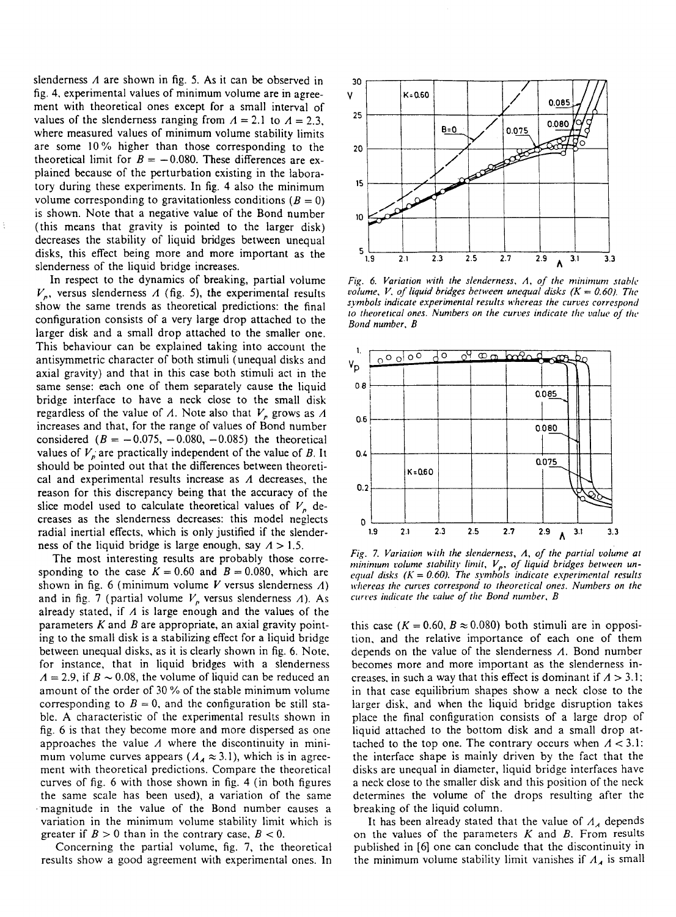slenderness *A* are shown in fig. 5. As it can be observed in fig. 4, experimental values of minimum volume are in agreement with theoretical ones except for a small interval of values of the slenderness ranging from  $A = 2.1$  to  $A = 2.3$ . where measured values of minimum volume stability limits are some 10% higher than those corresponding to the theoretical limit for  $B = -0.080$ . These differences are explained because of the perturbation existing in the laboratory during these experiments. In fig. 4 also the minimum volume corresponding to gravitationless conditions  $(B = 0)$ is shown. Note that a negative value of the Bond number (this means that gravity is pointed to the larger disk) decreases the stability of liquid bridges between unequal disks, this effect being more and more important as the slenderness of the liquid bridge increases.

In respect to the dynamics of breaking, partial volume  $V_p$ , versus slenderness  $A$  (fig. 5), the experimental results show the same trends as theoretical predictions: the final configuration consists of a very large drop attached to the larger disk and a small drop attached to the smaller one. This behaviour can be explained taking into account the antisymmetric character of both stimuli (unequal disks and axial gravity) and that in this case both stimuli act in the same sense: each one of them separately cause the liquid bridge interface to have a neck close to the small disk regardless of the value of  $\Lambda$ . Note also that  $V_p$  grows as  $\Lambda$ increases and that, for the range of values of Bond number considered  $(B = -0.075, -0.080, -0.085)$  the theoretical values of  $V_p$  are practically independent of the value of *B*. It should be pointed out that the differences between theoretical and experimental results increase as *A* decreases, the reason for this discrepancy being that the accuracy of the slice model used to calculate theoretical values of  $V_p$  decreases as the slenderness decreases: this model neglects radial inertial effects, which is only justified if the slenderness of the liquid bridge is large enough, say *A >* 1.5.

The most interesting results are probably those corresponding to the case  $K = 0.60$  and  $B = 0.080$ , which are shown in fig. 6 (minimum volume *V* versus slenderness *A)*  and in fig. 7 (partial volume  $V_p$  versus slenderness  $\Lambda$ ). As already stated, if *A* is large enough and the values of the parameters *K* and *B* are appropriate, an axial gravity pointing to the small disk is a stabilizing effect for a liquid bridge between unequal disks, as it is clearly shown in fig. 6. Note, for instance, that in liquid bridges with a slenderness  $A = 2.9$ , if  $B \sim 0.08$ , the volume of liquid can be reduced an amount of the order of 30 % of the stable minimum volume corresponding to  $B = 0$ , and the configuration be still stable. A characteristic of the experimental results shown in fig. 6 is that they become more and more dispersed as one approaches the value *A* where the discontinuity in minimum volume curves appears ( $A_A \approx 3.1$ ), which is in agreement with theoretical predictions. Compare the theoretical curves of fig. 6 with those shown in fig. 4 (in both figures the same scale has been used), a variation of the same magnitude in the value of the Bond number causes a variation in the minimum volume stability limit which is greater if  $B > 0$  than in the contrary case,  $B < 0$ .

Concerning the partial volume, fig. 7, the theoretical results show a good agreement with experimental ones. In



*Fig. 6. Variation with the slenderness. A, of the minimum stable volume, V, of liquid bridges between unequal disks*  $(K = 0.60)$ *. The symbols indicate experimental results whereas the curves correspond to theoretical ones. Numbers on the curves indicate the value of the Bond number, B* 



*Fig.* 7. *Variation with the slenderness. A, of the partial volume at*  minimum volume stability limit, V<sub>p</sub>, of liquid bridges between un*equal disks (K = 0.60). The symbols indicate experimental results whereas the curves correspond to theoretical ones. Numbers on the curves indicate the value of the Bond number, B* 

this case ( $K = 0.60$ ,  $B \approx 0.080$ ) both stimuli are in opposition, and the relative importance of each one of them depends on the value of the slenderness *A.* Bond number becomes more and more important as the slenderness increases, in such a way that this effect is dominant if *A >* 3.1; in that case equilibrium shapes show a neck close to the larger disk, and when the liquid bridge disruption takes place the final configuration consists of a large drop of liquid attached to the bottom disk and a small drop attached to the top one. The contrary occurs when  $A < 3.1$ : the interface shape is mainly driven by the fact that the disks are unequal in diameter, liquid bridge interfaces have a neck close to the smaller disk and this position of the neck determines the volume of the drops resulting after the breaking of the liquid column.

It has been already stated that the value of  $A_A$  depends on the values of the parameters *K* and *B.* From results published in [6] one can conclude that the discontinuity in the minimum volume stability limit vanishes if  $A_A$  is small